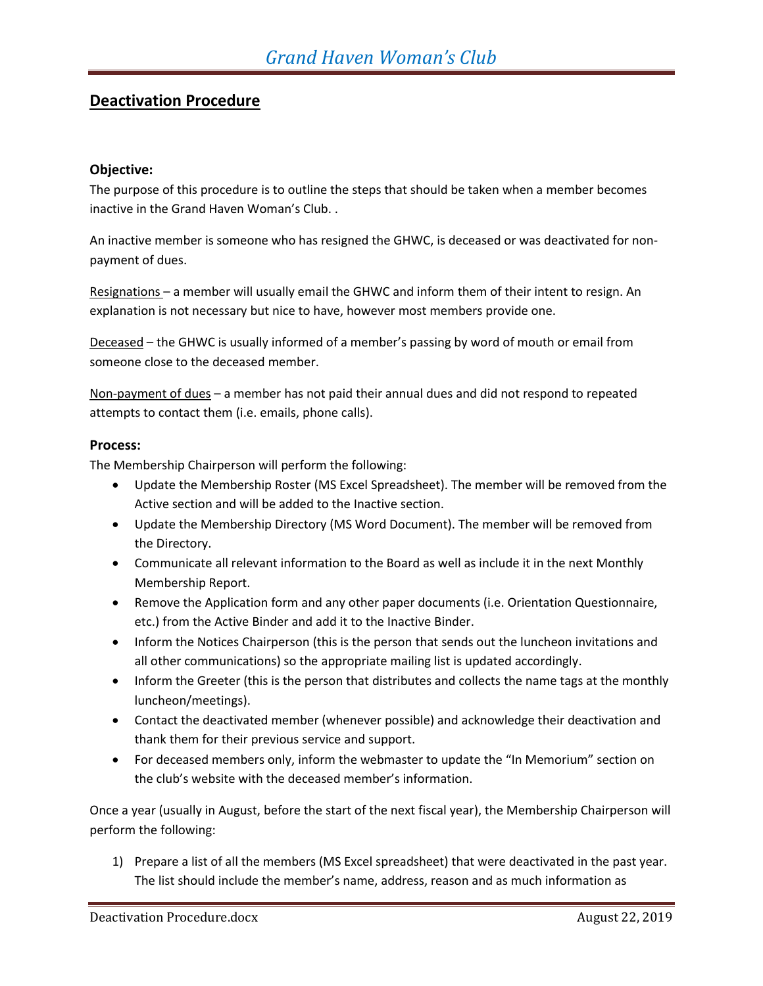## **Deactivation Procedure**

## **Objective:**

The purpose of this procedure is to outline the steps that should be taken when a member becomes inactive in the Grand Haven Woman's Club. .

An inactive member is someone who has resigned the GHWC, is deceased or was deactivated for nonpayment of dues.

Resignations – a member will usually email the GHWC and inform them of their intent to resign. An explanation is not necessary but nice to have, however most members provide one.

Deceased – the GHWC is usually informed of a member's passing by word of mouth or email from someone close to the deceased member.

Non-payment of dues - a member has not paid their annual dues and did not respond to repeated attempts to contact them (i.e. emails, phone calls).

## **Process:**

The Membership Chairperson will perform the following:

- Update the Membership Roster (MS Excel Spreadsheet). The member will be removed from the Active section and will be added to the Inactive section.
- Update the Membership Directory (MS Word Document). The member will be removed from the Directory.
- Communicate all relevant information to the Board as well as include it in the next Monthly Membership Report.
- Remove the Application form and any other paper documents (i.e. Orientation Questionnaire, etc.) from the Active Binder and add it to the Inactive Binder.
- Inform the Notices Chairperson (this is the person that sends out the luncheon invitations and all other communications) so the appropriate mailing list is updated accordingly.
- Inform the Greeter (this is the person that distributes and collects the name tags at the monthly luncheon/meetings).
- Contact the deactivated member (whenever possible) and acknowledge their deactivation and thank them for their previous service and support.
- For deceased members only, inform the webmaster to update the "In Memorium" section on the club's website with the deceased member's information.

Once a year (usually in August, before the start of the next fiscal year), the Membership Chairperson will perform the following:

1) Prepare a list of all the members (MS Excel spreadsheet) that were deactivated in the past year. The list should include the member's name, address, reason and as much information as